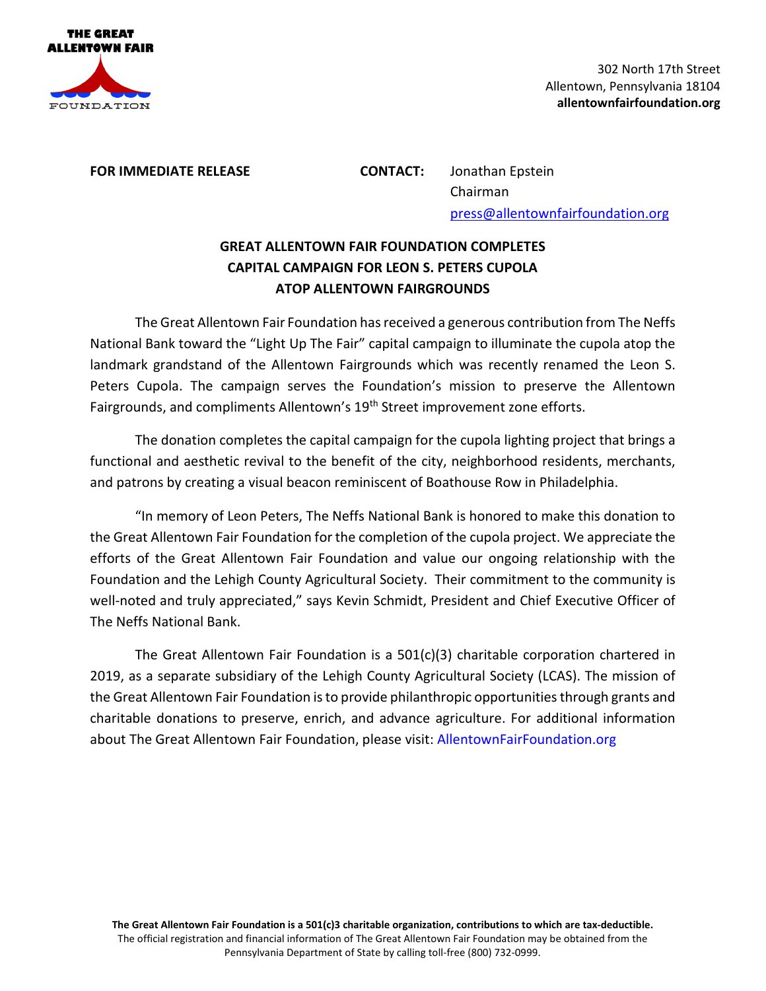

**FOR IMMEDIATE RELEASE CONTACT:** Jonathan Epstein Chairman press@allentownfairfoundation.org

## **GREAT ALLENTOWN FAIR FOUNDATION COMPLETES CAPITAL CAMPAIGN FOR LEON S. PETERS CUPOLA ATOP ALLENTOWN FAIRGROUNDS**

The Great Allentown Fair Foundation has received a generous contribution from The Neffs National Bank toward the "Light Up The Fair" capital campaign to illuminate the cupola atop the landmark grandstand of the Allentown Fairgrounds which was recently renamed the Leon S. Peters Cupola. The campaign serves the Foundation's mission to preserve the Allentown Fairgrounds, and compliments Allentown's 19<sup>th</sup> Street improvement zone efforts.

The donation completes the capital campaign for the cupola lighting project that brings a functional and aesthetic revival to the benefit of the city, neighborhood residents, merchants, and patrons by creating a visual beacon reminiscent of Boathouse Row in Philadelphia.

"In memory of Leon Peters, The Neffs National Bank is honored to make this donation to the Great Allentown Fair Foundation for the completion of the cupola project. We appreciate the efforts of the Great Allentown Fair Foundation and value our ongoing relationship with the Foundation and the Lehigh County Agricultural Society. Their commitment to the community is well-noted and truly appreciated," says Kevin Schmidt, President and Chief Executive Officer of The Neffs National Bank.

The Great Allentown Fair Foundation is a  $501(c)(3)$  charitable corporation chartered in 2019, as a separate subsidiary of the Lehigh County Agricultural Society (LCAS). The mission of the Great Allentown Fair Foundation is to provide philanthropic opportunities through grants and charitable donations to preserve, enrich, and advance agriculture. For additional information about The Great Allentown Fair Foundation, please visit: AllentownFairFoundation.org